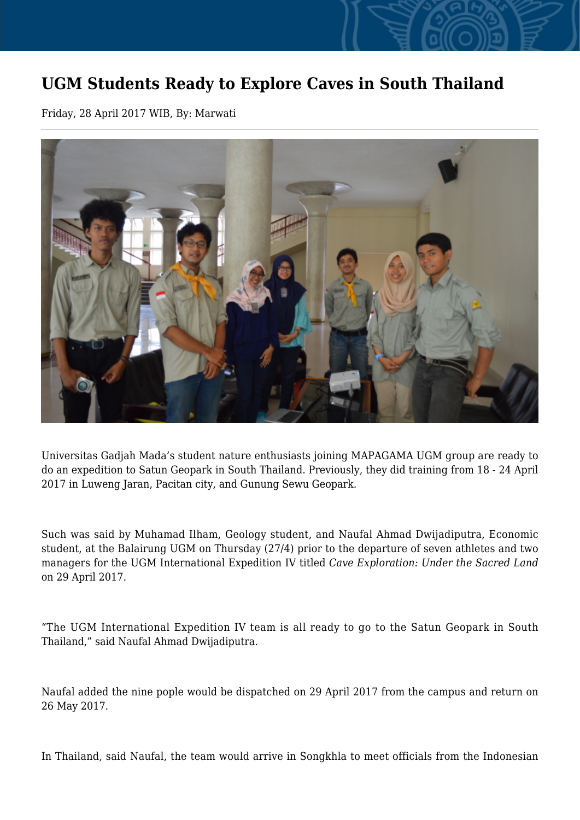## **UGM Students Ready to Explore Caves in South Thailand**

Friday, 28 April 2017 WIB, By: Marwati



Universitas Gadjah Mada's student nature enthusiasts joining MAPAGAMA UGM group are ready to do an expedition to Satun Geopark in South Thailand. Previously, they did training from 18 - 24 April 2017 in Luweng Jaran, Pacitan city, and Gunung Sewu Geopark.

Such was said by Muhamad Ilham, Geology student, and Naufal Ahmad Dwijadiputra, Economic student, at the Balairung UGM on Thursday (27/4) prior to the departure of seven athletes and two managers for the UGM International Expedition IV titled *Cave Exploration: Under the Sacred Land* on 29 April 2017.

"The UGM International Expedition IV team is all ready to go to the Satun Geopark in South Thailand," said Naufal Ahmad Dwijadiputra.

Naufal added the nine pople would be dispatched on 29 April 2017 from the campus and return on 26 May 2017.

In Thailand, said Naufal, the team would arrive in Songkhla to meet officials from the Indonesian